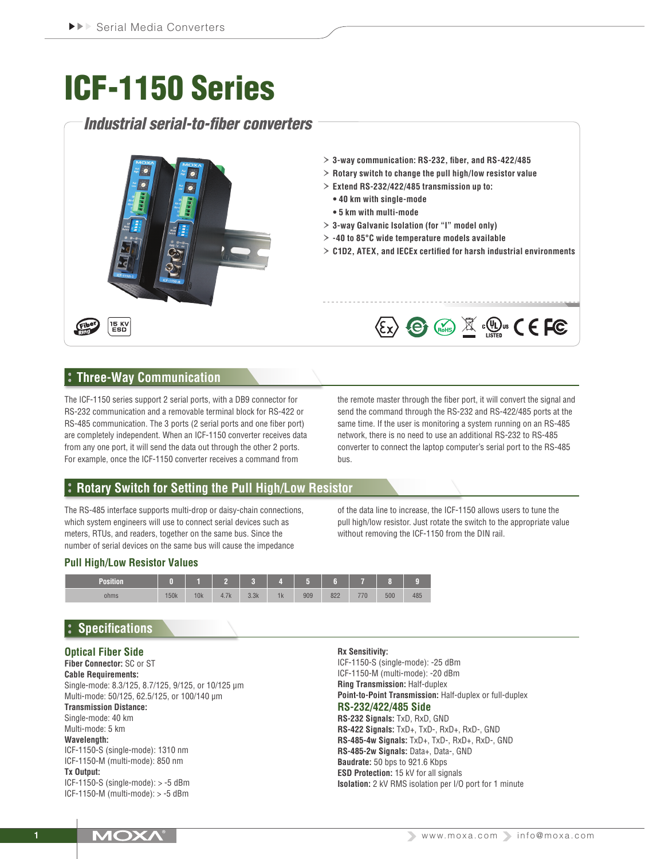# ICF-1150 Series

# *Industrial serial-to-fiber converters*



# **Three-Way Communication**

The ICF-1150 series support 2 serial ports, with a DB9 connector for RS-232 communication and a removable terminal block for RS-422 or RS-485 communication. The 3 ports (2 serial ports and one fiber port) are completely independent. When an ICF-1150 converter receives data from any one port, it will send the data out through the other 2 ports. For example, once the ICF-1150 converter receives a command from

the remote master through the fiber port, it will convert the signal and send the command through the RS-232 and RS-422/485 ports at the same time. If the user is monitoring a system running on an RS-485 network, there is no need to use an additional RS-232 to RS-485 converter to connect the laptop computer's serial port to the RS-485 bus.

# **Rotary Switch for Setting the Pull High/Low Resistor**

The RS-485 interface supports multi-drop or daisy-chain connections, which system engineers will use to connect serial devices such as meters, RTUs, and readers, together on the same bus. Since the number of serial devices on the same bus will cause the impedance

of the data line to increase, the ICF-1150 allows users to tune the pull high/low resistor. Just rotate the switch to the appropriate value without removing the ICF-1150 from the DIN rail.

# **Pull High/Low Resistor Values**



# **Specifications**

# **Optical Fiber Side**

**Fiber Connector:** SC or ST **Cable Requirements:** Single-mode: 8.3/125, 8.7/125, 9/125, or 10/125 μm Multi-mode: 50/125, 62.5/125, or 100/140 μm **Transmission Distance:**

Single-mode: 40 km

# Multi-mode: 5 km

**Wavelength:**

ICF-1150-S (single-mode): 1310 nm ICF-1150-M (multi-mode): 850 nm

### **Tx Output:**

ICF-1150-S (single-mode): > -5 dBm ICF-1150-M (multi-mode): > -5 dBm

#### **Rx Sensitivity:**

ICF-1150-S (single-mode): -25 dBm ICF-1150-M (multi-mode): -20 dBm **Ring Transmission:** Half-duplex **Point-to-Point Transmission:** Half-duplex or full-duplex **RS-232/422/485 Side RS-232 Signals:** TxD, RxD, GND **RS-422 Signals:** TxD+, TxD-, RxD+, RxD-, GND **RS-485-4w Signals:** TxD+, TxD-, RxD+, RxD-, GND **RS-485-2w Signals:** Data+, Data-, GND **Baudrate:** 50 bps to 921.6 Kbps **ESD Protection:** 15 kV for all signals **Isolation:** 2 kV RMS isolation per I/O port for 1 minute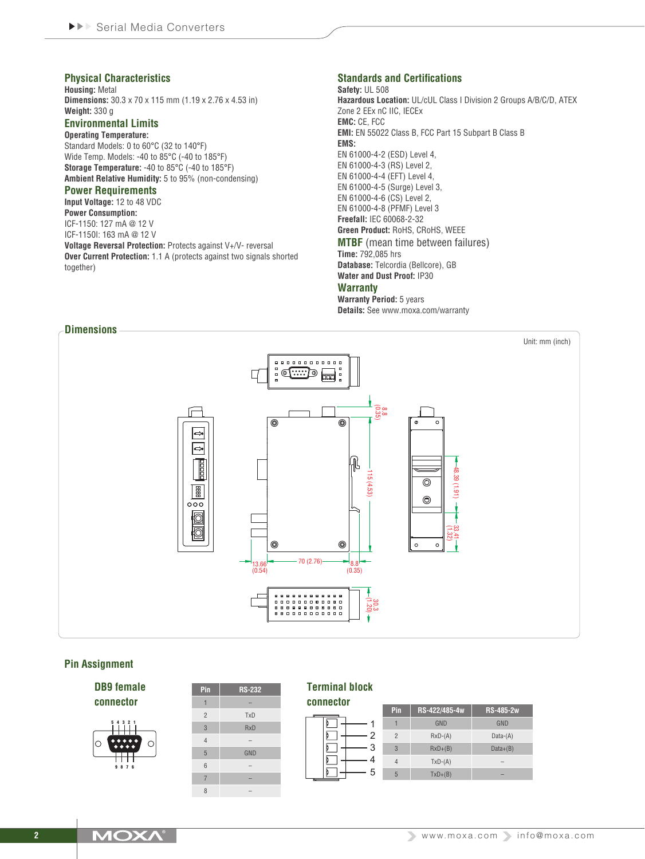#### **Physical Characteristics**

**Housing:** Metal **Dimensions:** 30.3 x 70 x 115 mm (1.19 x 2.76 x 4.53 in) **Weight:** 330 g

# **Environmental Limits**

**Operating Temperature:** Standard Models: 0 to 60°C (32 to 140°F) Wide Temp. Models: -40 to 85°C (-40 to 185°F) **Storage Temperature:** -40 to 85°C (-40 to 185°F) **Ambient Relative Humidity:** 5 to 95% (non-condensing)

#### **Power Requirements**

**Input Voltage:** 12 to 48 VDC **Power Consumption:** ICF-1150: 127 mA @ 12 V

ICF-1150I: 163 mA @ 12 V **Voltage Reversal Protection:** Protects against V+/V- reversal

**Over Current Protection:** 1.1 A (protects against two signals shorted together)

#### **Standards and Certifications**

**Safety:** UL 508 **Hazardous Location:** UL/cUL Class I Division 2 Groups A/B/C/D, ATEX Zone 2 EEx nC IIC, IECEx **EMC:** CE, FCC **EMI:** EN 55022 Class B, FCC Part 15 Subpart B Class B **EMS:** EN 61000-4-2 (ESD) Level 4, EN 61000-4-3 (RS) Level 2, EN 61000-4-4 (EFT) Level 4, EN 61000-4-5 (Surge) Level 3, EN 61000-4-6 (CS) Level 2, EN 61000-4-8 (PFMF) Level 3 **Freefall:** IEC 60068-2-32 **Green Product:** RoHS, CRoHS, WEEE **MTBF** (mean time between failures) **Time:** 792,085 hrs **Database:** Telcordia (Bellcore), GB **Water and Dust Proof:** IP30 **Warranty**

**Warranty Period:** 5 years **Details:** See www.moxa.com/warranty



#### **Pin Assignment**

**DB9 female connector** 5 4 3 2 1



| Pin            | <b>RS-232</b> |
|----------------|---------------|
| 1              |               |
| $\overline{2}$ | <b>TxD</b>    |
| 3              | <b>RxD</b>    |
| $\overline{4}$ |               |
| 5              | GND           |
| 6              |               |
| $\overline{7}$ |               |
| 8              |               |

#### **Terminal block**

| connector |                |               |              |  |  |  |  |
|-----------|----------------|---------------|--------------|--|--|--|--|
|           | Pin            | RS-422/485-4w | <b>RS-48</b> |  |  |  |  |
|           |                | <b>GND</b>    | GN           |  |  |  |  |
| 2         | $\overline{2}$ | $RxD-(A)$     | Data         |  |  |  |  |
| 3         | 3              | $RxD+ (B)$    | Data         |  |  |  |  |
|           | $\overline{4}$ | $TxD-(A)$     | ۰            |  |  |  |  |
| 5         | 5              | $TxD+(B)$     | -            |  |  |  |  |
|           |                |               |              |  |  |  |  |

|  | <b>IMOXA</b> |  |  |
|--|--------------|--|--|
|--|--------------|--|--|

**Pin RS-422/485-4w RS-485-2w** 1 GND GND Data-(A)  $Data+(B)$